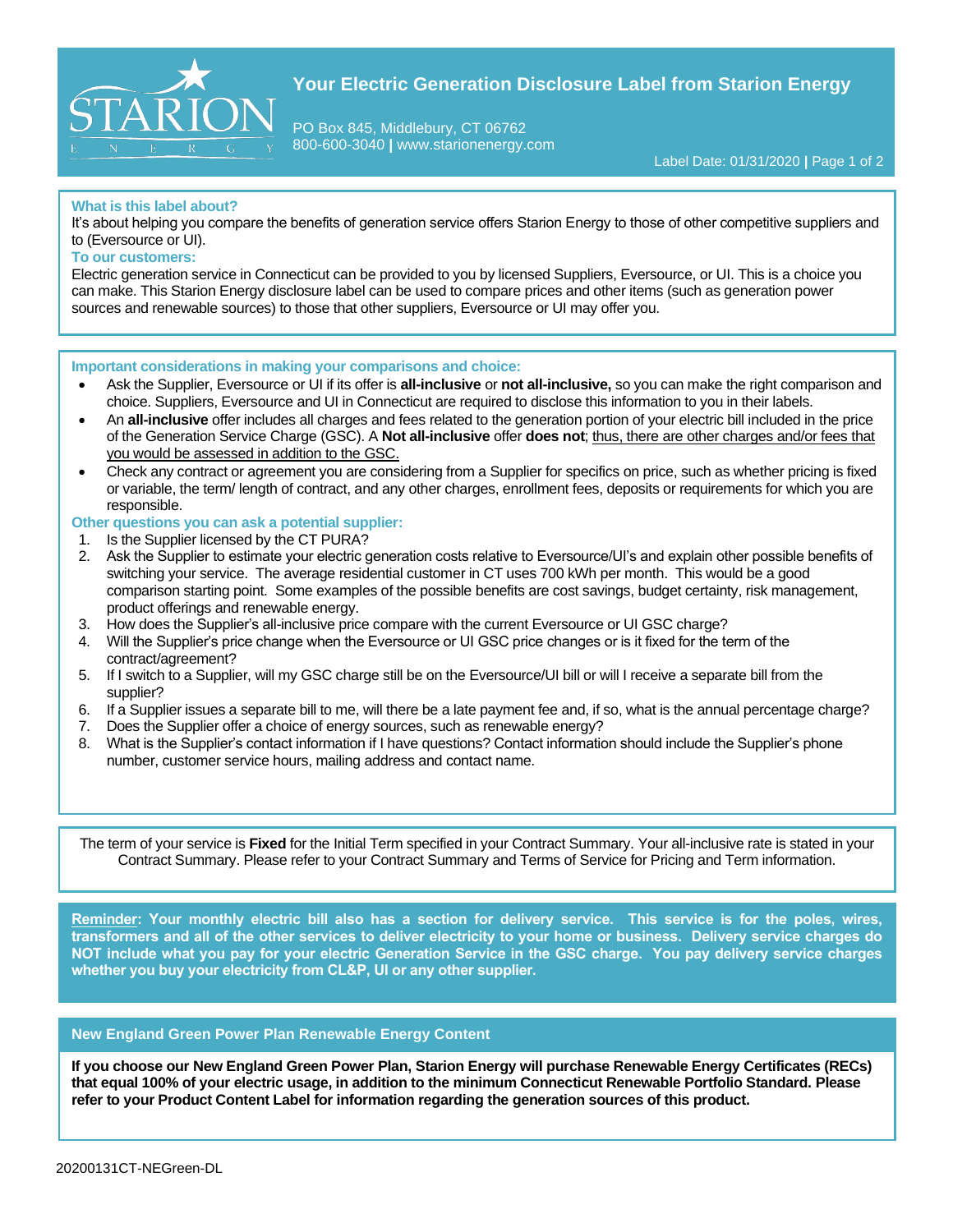

# **Your Electric Generation Disclosure Label from Starion Energy**

PO Box 845, Middlebury, CT 06762 800-600-3040 **|** www.starionenergy.com

Label Date: 01/31/2020 **|** Page 1 of 2

### **What is this label about?**

It's about helping you compare the benefits of generation service offers Starion Energy to those of other competitive suppliers and to (Eversource or UI).

### **To our customers:**

Electric generation service in Connecticut can be provided to you by licensed Suppliers, Eversource, or UI. This is a choice you can make. This Starion Energy disclosure label can be used to compare prices and other items (such as generation power sources and renewable sources) to those that other suppliers, Eversource or UI may offer you.

### **Important considerations in making your comparisons and choice:**

- Ask the Supplier, Eversource or UI if its offer is **all-inclusive** or **not all-inclusive,** so you can make the right comparison and choice. Suppliers, Eversource and UI in Connecticut are required to disclose this information to you in their labels.
- An **all-inclusive** offer includes all charges and fees related to the generation portion of your electric bill included in the price of the Generation Service Charge (GSC). A **Not all-inclusive** offer **does not**; thus, there are other charges and/or fees that you would be assessed in addition to the GSC.
- Check any contract or agreement you are considering from a Supplier for specifics on price, such as whether pricing is fixed or variable, the term/ length of contract, and any other charges, enrollment fees, deposits or requirements for which you are responsible.

### **Other questions you can ask a potential supplier:**

- 1. Is the Supplier licensed by the CT PURA?
- 2. Ask the Supplier to estimate your electric generation costs relative to Eversource/UI's and explain other possible benefits of switching your service. The average residential customer in CT uses 700 kWh per month. This would be a good comparison starting point. Some examples of the possible benefits are cost savings, budget certainty, risk management, product offerings and renewable energy.
- 3. How does the Supplier's all-inclusive price compare with the current Eversource or UI GSC charge?
- 4. Will the Supplier's price change when the Eversource or UI GSC price changes or is it fixed for the term of the contract/agreement?
- 5. If I switch to a Supplier, will my GSC charge still be on the Eversource/UI bill or will I receive a separate bill from the supplier?
- 6. If a Supplier issues a separate bill to me, will there be a late payment fee and, if so, what is the annual percentage charge?
- 7. Does the Supplier offer a choice of energy sources, such as renewable energy?
- 8. What is the Supplier's contact information if I have questions? Contact information should include the Supplier's phone number, customer service hours, mailing address and contact name.

The term of your service is **Fixed** for the Initial Term specified in your Contract Summary. Your all-inclusive rate is stated in your Contract Summary. Please refer to your Contract Summary and Terms of Service for Pricing and Term information.

**Reminder: Your monthly electric bill also has a section for delivery service. This service is for the poles, wires, transformers and all of the other services to deliver electricity to your home or business. Delivery service charges do NOT include what you pay for your electric Generation Service in the GSC charge. You pay delivery service charges whether you buy your electricity from CL&P, UI or any other supplier.**

## **New England Green Power Plan Renewable Energy Content**

**If you choose our New England Green Power Plan, Starion Energy will purchase Renewable Energy Certificates (RECs) that equal 100% of your electric usage, in addition to the minimum Connecticut Renewable Portfolio Standard. Please refer to your Product Content Label for information regarding the generation sources of this product.**